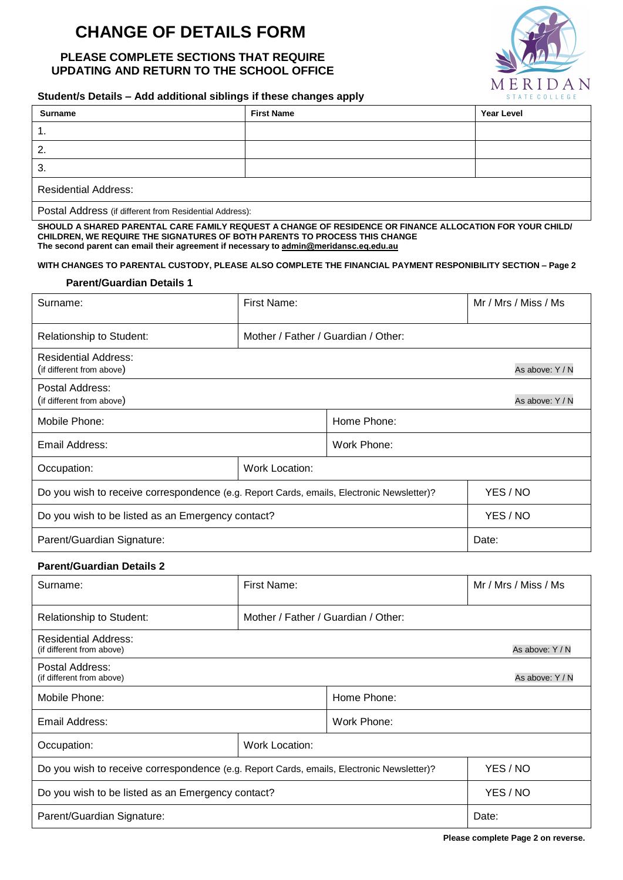# **CHANGE OF DETAILS FORM**

## **PLEASE COMPLETE SECTIONS THAT REQUIRE UPDATING AND RETURN TO THE SCHOOL OFFICE**



#### **Student/s Details – Add additional siblings if these changes apply**

| <b>Surname</b>              | <b>First Name</b> | <b>Year Level</b> |
|-----------------------------|-------------------|-------------------|
| . .                         |                   |                   |
| 2.                          |                   |                   |
| 3.                          |                   |                   |
| <b>Residential Address:</b> |                   |                   |

Postal Address (if different from Residential Address):

**SHOULD A SHARED PARENTAL CARE FAMILY REQUEST A CHANGE OF RESIDENCE OR FINANCE ALLOCATION FOR YOUR CHILD/ CHILDREN, WE REQUIRE THE SIGNATURES OF BOTH PARENTS TO PROCESS THIS CHANGE The second parent can email their agreement if necessary to admin@meridansc.eq.edu.au**

#### **WITH CHANGES TO PARENTAL CUSTODY, PLEASE ALSO COMPLETE THE FINANCIAL PAYMENT RESPONIBILITY SECTION – Page 2**

#### **Parent/Guardian Details 1**

| Surname:                                                                                  | First Name:                         |             | Mr / Mrs / Miss / Ms |
|-------------------------------------------------------------------------------------------|-------------------------------------|-------------|----------------------|
| <b>Relationship to Student:</b>                                                           | Mother / Father / Guardian / Other: |             |                      |
| <b>Residential Address:</b><br>(if different from above)                                  |                                     |             | As above: Y / N      |
| Postal Address:<br>(if different from above)                                              |                                     |             | As above: Y / N      |
| Mobile Phone:                                                                             |                                     | Home Phone: |                      |
| Email Address:                                                                            |                                     | Work Phone: |                      |
| Work Location:<br>Occupation:                                                             |                                     |             |                      |
| Do you wish to receive correspondence (e.g. Report Cards, emails, Electronic Newsletter)? |                                     | YES / NO    |                      |
| Do you wish to be listed as an Emergency contact?                                         |                                     | YES / NO    |                      |
| Parent/Guardian Signature:                                                                |                                     | Date:       |                      |

#### **Parent/Guardian Details 2**

| Surname:                                                                                  | First Name:                         |             | Mr / Mrs / Miss / Ms |
|-------------------------------------------------------------------------------------------|-------------------------------------|-------------|----------------------|
| <b>Relationship to Student:</b>                                                           | Mother / Father / Guardian / Other: |             |                      |
| <b>Residential Address:</b><br>(if different from above)                                  |                                     |             | As above: Y / N      |
| Postal Address:<br>(if different from above)                                              |                                     |             | As above: Y/N        |
| Mobile Phone:                                                                             |                                     | Home Phone: |                      |
| Email Address:                                                                            |                                     | Work Phone: |                      |
| <b>Work Location:</b><br>Occupation:                                                      |                                     |             |                      |
| Do you wish to receive correspondence (e.g. Report Cards, emails, Electronic Newsletter)? |                                     |             | YES / NO             |
| Do you wish to be listed as an Emergency contact?                                         |                                     |             | YES / NO             |
| Parent/Guardian Signature:                                                                |                                     | Date:       |                      |